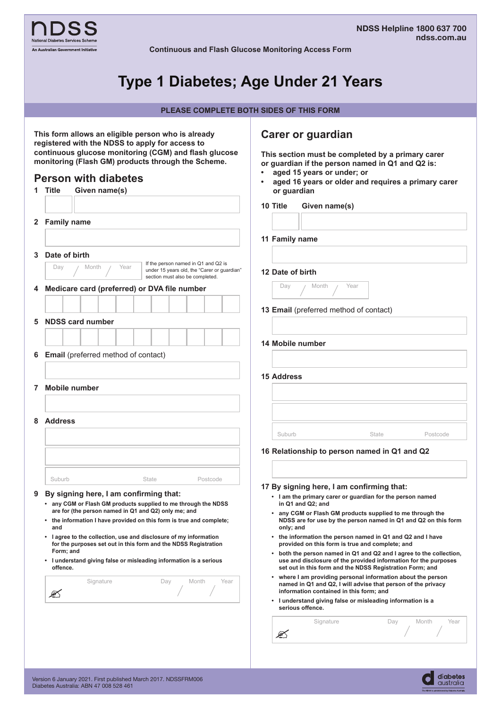

**Continuous and Flash Glucose Monitoring Access Form** 

# **Type 1 Diabetes; Age Under 21 Years**

**PLEASE COMPLETE BOTH SIDES OF THIS FORM**

| This form allows an eligible person who is already<br>registered with the NDSS to apply for access to<br>continuous glucose monitoring (CGM) and flash glucose<br>monitoring (Flash GM) products through the Scheme.<br><b>Person with diabetes</b><br>1 Title<br>Given name(s) |                                                                                                                                                   |  | <b>Carer or guardian</b><br>This section must be completed by a primary carer<br>or guardian if the person named in Q1 and Q2 is:<br>aged 15 years or under; or<br>aged 16 years or older and requires a primary carer<br>or guardian |  |  |
|---------------------------------------------------------------------------------------------------------------------------------------------------------------------------------------------------------------------------------------------------------------------------------|---------------------------------------------------------------------------------------------------------------------------------------------------|--|---------------------------------------------------------------------------------------------------------------------------------------------------------------------------------------------------------------------------------------|--|--|
|                                                                                                                                                                                                                                                                                 |                                                                                                                                                   |  | Given name(s)<br>10 Title                                                                                                                                                                                                             |  |  |
| 2                                                                                                                                                                                                                                                                               | <b>Family name</b>                                                                                                                                |  |                                                                                                                                                                                                                                       |  |  |
|                                                                                                                                                                                                                                                                                 |                                                                                                                                                   |  | 11 Family name                                                                                                                                                                                                                        |  |  |
| 3                                                                                                                                                                                                                                                                               | Date of birth                                                                                                                                     |  |                                                                                                                                                                                                                                       |  |  |
|                                                                                                                                                                                                                                                                                 | If the person named in Q1 and Q2 is<br>Year<br>Day<br>Month<br>under 15 years old, the "Carer or guardian"<br>section must also be completed.     |  | 12 Date of birth                                                                                                                                                                                                                      |  |  |
| 4                                                                                                                                                                                                                                                                               | Medicare card (preferred) or DVA file number                                                                                                      |  | Month<br>Year<br>Day                                                                                                                                                                                                                  |  |  |
|                                                                                                                                                                                                                                                                                 |                                                                                                                                                   |  | 13 Email (preferred method of contact)                                                                                                                                                                                                |  |  |
| 5                                                                                                                                                                                                                                                                               | <b>NDSS card number</b>                                                                                                                           |  |                                                                                                                                                                                                                                       |  |  |
|                                                                                                                                                                                                                                                                                 |                                                                                                                                                   |  |                                                                                                                                                                                                                                       |  |  |
|                                                                                                                                                                                                                                                                                 |                                                                                                                                                   |  | 14 Mobile number                                                                                                                                                                                                                      |  |  |
| 6                                                                                                                                                                                                                                                                               | <b>Email</b> (preferred method of contact)                                                                                                        |  |                                                                                                                                                                                                                                       |  |  |
|                                                                                                                                                                                                                                                                                 |                                                                                                                                                   |  | <b>15 Address</b>                                                                                                                                                                                                                     |  |  |
|                                                                                                                                                                                                                                                                                 | 7 Mobile number                                                                                                                                   |  |                                                                                                                                                                                                                                       |  |  |
|                                                                                                                                                                                                                                                                                 |                                                                                                                                                   |  |                                                                                                                                                                                                                                       |  |  |
| 8                                                                                                                                                                                                                                                                               | <b>Address</b>                                                                                                                                    |  |                                                                                                                                                                                                                                       |  |  |
|                                                                                                                                                                                                                                                                                 |                                                                                                                                                   |  | State<br>Suburb<br>Postcode                                                                                                                                                                                                           |  |  |
|                                                                                                                                                                                                                                                                                 |                                                                                                                                                   |  | 16 Relationship to person named in Q1 and Q2                                                                                                                                                                                          |  |  |
|                                                                                                                                                                                                                                                                                 | Suburb<br><b>State</b><br>Postcode                                                                                                                |  |                                                                                                                                                                                                                                       |  |  |
|                                                                                                                                                                                                                                                                                 | 9 By signing here, I am confirming that:                                                                                                          |  | 17 By signing here, I am confirming that:                                                                                                                                                                                             |  |  |
|                                                                                                                                                                                                                                                                                 | • any CGM or Flash GM products supplied to me through the NDSS                                                                                    |  | • I am the primary carer or guardian for the person named<br>in Q1 and Q2; and                                                                                                                                                        |  |  |
|                                                                                                                                                                                                                                                                                 | are for (the person named in Q1 and Q2) only me; and<br>• the information I have provided on this form is true and complete;<br>and               |  | • any CGM or Flash GM products supplied to me through the<br>NDSS are for use by the person named in Q1 and Q2 on this form<br>only; and                                                                                              |  |  |
|                                                                                                                                                                                                                                                                                 | • I agree to the collection, use and disclosure of my information<br>for the purposes set out in this form and the NDSS Registration<br>Form; and |  | • the information the person named in Q1 and Q2 and I have<br>provided on this form is true and complete; and                                                                                                                         |  |  |
|                                                                                                                                                                                                                                                                                 | • I understand giving false or misleading information is a serious<br>offence.                                                                    |  | • both the person named in Q1 and Q2 and I agree to the collection,<br>use and disclosure of the provided information for the purposes<br>set out in this form and the NDSS Registration Form; and                                    |  |  |
|                                                                                                                                                                                                                                                                                 | Signature<br>Month<br>Year<br>Day<br>Ø                                                                                                            |  | • where I am providing personal information about the person<br>named in Q1 and Q2, I will advise that person of the privacy<br>information contained in this form; and                                                               |  |  |
|                                                                                                                                                                                                                                                                                 |                                                                                                                                                   |  | • I understand giving false or misleading information is a<br>serious offence.                                                                                                                                                        |  |  |
|                                                                                                                                                                                                                                                                                 |                                                                                                                                                   |  | Signature<br>Year<br>Day<br>Month<br>Ø                                                                                                                                                                                                |  |  |
|                                                                                                                                                                                                                                                                                 |                                                                                                                                                   |  |                                                                                                                                                                                                                                       |  |  |

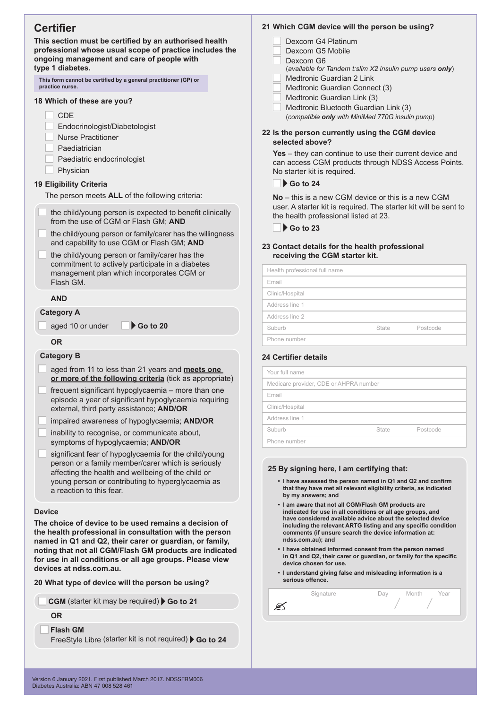# **Certifier**

**This section must be certified by an authorised health professional whose usual scope of practice includes the ongoing management and care of people with type 1 diabetes.**

**This form cannot be certified by a general practitioner (GP) or practice nurse.** 

#### **18 Which of these are you?**

**CDE** 

Endocrinologist/Diabetologist

- Nurse Practitioner
- Paediatrician

Paediatric endocrinologist

Physician

#### **19 Eligibility Criteria**

The person meets **ALL** of the following criteria:

| the child/young person is expected to benefit clinically |
|----------------------------------------------------------|
| from the use of CGM or Flash GM; AND                     |

- the child/young person or family/carer has the willingness and capability to use CGM or Flash GM; **AND**
- the child/young person or family/carer has the commitment to actively participate in a diabetes management plan which incorporates CGM or Flash GM.

#### **AND**

#### **Category A**

aged 10 or under **Go to 20** 

#### **OR**

#### **Category B**

- aged from 11 to less than 21 years and **meets one or more of the following criteria** (tick as appropriate)
- frequent significant hypoglycaemia more than one episode a year of significant hypoglycaemia requiring external, third party assistance; **AND/OR**
- impaired awareness of hypoglycaemia; **AND/OR**
- inability to recognise, or communicate about, symptoms of hypoglycaemia; **AND/OR**
- significant fear of hypoglycaemia for the child/young person or a family member/carer which is seriously affecting the health and wellbeing of the child or young person or contributing to hyperglycaemia as a reaction to this fear.

#### **Device**

**The choice of device to be used remains a decision of the health professional in consultation with the person named in Q1 and Q2, their carer or guardian, or family, noting that not all CGM/Flash GM products are indicated for use in all conditions or all age groups. Please view devices at ndss.com.au.** 

#### **20 What type of device will the person be using?**

**CGM** (starter kit may be required) Go to 21

### **OR**

**Flash GM**

FreeStyle Libre (starter kit is not required) Go to 24

### **21 Which CGM device will the person be using?**

- Dexcom G4 Platinum
- Dexcom G5 Mobile
- Dexcom G6

(*available for Tandem t:slim X2 insulin pump users only*)

- Medtronic Guardian 2 Link
- Medtronic Guardian Connect (3)
- Medtronic Guardian Link (3)
- Medtronic Bluetooth Guardian Link (3) (*compatible only with MiniMed 770G insulin pump*)

### **22 Is the person currently using the CGM device selected above?**

**Yes** – they can continue to use their current device and can access CGM products through NDSS Access Points. No starter kit is required.

#### **Go to 24**

**No** – this is a new CGM device or this is a new CGM user. A starter kit is required. The starter kit will be sent to the health professional listed at 23.

 **Go to 23** 

#### **23 Contact details for the health professional receiving the CGM starter kit.**

| Health professional full name |       |          |  |  |
|-------------------------------|-------|----------|--|--|
| Email                         |       |          |  |  |
| Clinic/Hospital               |       |          |  |  |
| Address line 1                |       |          |  |  |
| Address line 2                |       |          |  |  |
| Suburb                        | State | Postcode |  |  |
| Phone number                  |       |          |  |  |

#### **24 Certifier details**

| Your full name                         |       |          |  |
|----------------------------------------|-------|----------|--|
| Medicare provider, CDE or AHPRA number |       |          |  |
| Email                                  |       |          |  |
| Clinic/Hospital                        |       |          |  |
| Address line 1                         |       |          |  |
| Suburb                                 | State | Postcode |  |
| Phone number                           |       |          |  |

#### **25 By signing here, I am certifying that:**

- **• I have assessed the person named in Q1 and Q2 and confirm that they have met all relevant eligibility criteria, as indicated by my answers; and**
- **• I am aware that not all CGM/Flash GM products are indicated for use in all conditions or all age groups, and have considered available advice about the selected device including the relevant ARTG listing and any specific condition comments (if unsure search the device information at: ndss.com.au); and**
- **• I have obtained informed consent from the person named in Q1 and Q2, their carer or guardian, or family for the specific device chosen for use.**
- **• I understand giving false and misleading information is a serious offence.**

| Ø | Signature | Dav | Month | Year |
|---|-----------|-----|-------|------|
|   |           |     |       |      |